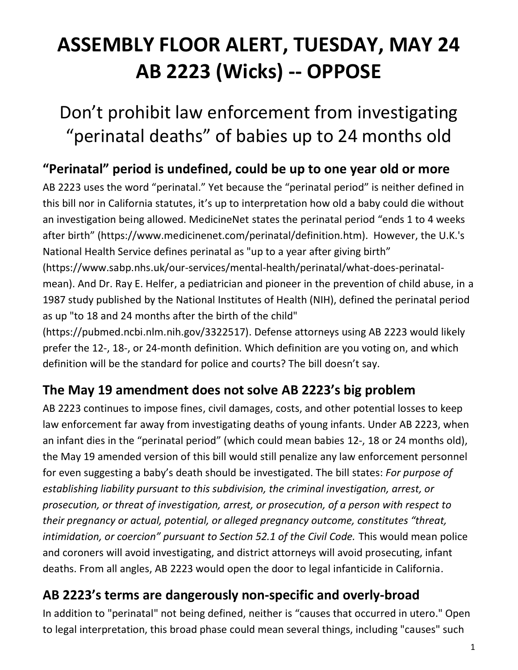# **ASSEMBLY FLOOR ALERT, TUESDAY, MAY 24 AB 2223 (Wicks) -- OPPOSE**

## Don't prohibit law enforcement from investigating "perinatal deaths" of babies up to 24 months old

#### **"Perinatal" period is undefined, could be up to one year old or more**

AB 2223 uses the word "perinatal." Yet because the "perinatal period" is neither defined in this bill nor in California statutes, it's up to interpretation how old a baby could die without an investigation being allowed. MedicineNet states the perinatal period "ends 1 to 4 weeks after birth" (https://www.medicinenet.com/perinatal/definition.htm). However, the U.K.'s National Health Service defines perinatal as "up to a year after giving birth" (https://www.sabp.nhs.uk/our-services/mental-health/perinatal/what-does-perinatalmean). And Dr. Ray E. Helfer, a pediatrician and pioneer in the prevention of child abuse, in a 1987 study published by the National Institutes of Health (NIH), defined the perinatal period

as up "to 18 and 24 months after the birth of the child"

(https://pubmed.ncbi.nlm.nih.gov/3322517). Defense attorneys using AB 2223 would likely prefer the 12-, 18-, or 24-month definition. Which definition are you voting on, and which definition will be the standard for police and courts? The bill doesn't say.

#### **The May 19 amendment does not solve AB 2223's big problem**

AB 2223 continues to impose fines, civil damages, costs, and other potential losses to keep law enforcement far away from investigating deaths of young infants. Under AB 2223, when an infant dies in the "perinatal period" (which could mean babies 12-, 18 or 24 months old), the May 19 amended version of this bill would still penalize any law enforcement personnel for even suggesting a baby's death should be investigated. The bill states: *For purpose of establishing liability pursuant to this subdivision, the criminal investigation, arrest, or prosecution, or threat of investigation, arrest, or prosecution, of a person with respect to their pregnancy or actual, potential, or alleged pregnancy outcome, constitutes "threat, intimidation, or coercion" pursuant to Section 52.1 of the Civil Code.* This would mean police and coroners will avoid investigating, and district attorneys will avoid prosecuting, infant deaths. From all angles, AB 2223 would open the door to legal infanticide in California.

#### **AB 2223's terms are dangerously non-specific and overly-broad**

In addition to "perinatal" not being defined, neither is "causes that occurred in utero." Open to legal interpretation, this broad phase could mean several things, including "causes" such